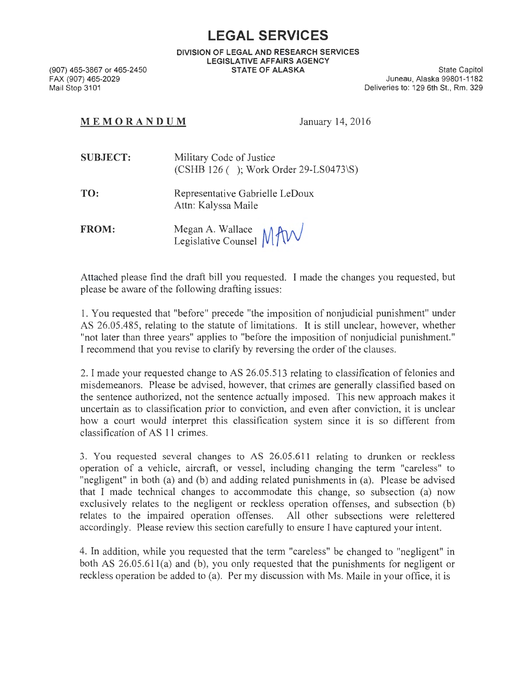## **LEGAL SERVICES**

DIVISION OF LEGAL AND RESEARCH SERVICES LEGISLATIVE AFFAIRS AGENCY STATE OF ALASKA State Capitol

(907) 465-3867 or 465-2450 FAX (907) 465-2029 Mail Stop 3101

Juneau, Alaska 99801-1182 Deliveries to: 129 6th St., Rm. 329

## MEM ORANDUM January 14, 2016

| <b>SUBJECT:</b> | Military Code of Justice<br>$(CSHB 126$ ( ); Work Order 29-LS0473\S) |
|-----------------|----------------------------------------------------------------------|
| TO:             | Representative Gabrielle LeDoux                                      |

Attn: Kalyssa Maile

FROM: Megan A. Wallace  $\Lambda/\Lambda_0$ Legislative Counsel  $\sqrt{V}$ 

Attached please find the draft bill you requested. I made the changes you requested, but please be aware of the following drafting issues:

1. You requested that "before" precede "the imposition of nonjudicial punishment" under AS 26.05.485, relating to the statute of limitations. It is still unclear, however, whether "not later than three years" applies to "before the imposition of nonjudicial punishment." I recommend that you revise to clarify by reversing the order of the clauses.

2. I made your requested change to AS 26.05.513 relating to classification of felonies and misdemeanors. Please be advised, however, that crimes are generally classified based on the sentence authorized, not the sentence actually imposed. This new approach makes it uncertain as to classification prior to conviction, and even after conviction, it is unclear how a court would interpret this classification system since it is so different from classification of AS 11 crimes.

3. You requested several changes to AS 26.05.611 relating to drunken or reckless operation of a vehicle, aircraft, or vessel, including changing the term "careless" to "negligent" in both (a) and (b) and adding related punishments in (a). Please be advised that I made technical changes to accommodate this change, so subsection (a) now exclusively relates to the negligent or reckless operation offenses, and subsection (b) relates to the impaired operation offenses. All other subsections were relettered accordingly. Please review this section carefully to ensure I have captured your intent.

4. In addition, while you requested that the term "careless" be changed to "negligent" in both AS 26.05 .611(a) and (b), you only requested that the punishments for negligent or reckless operation be added to (a). Per my discussion with Ms. Maile in your office, it is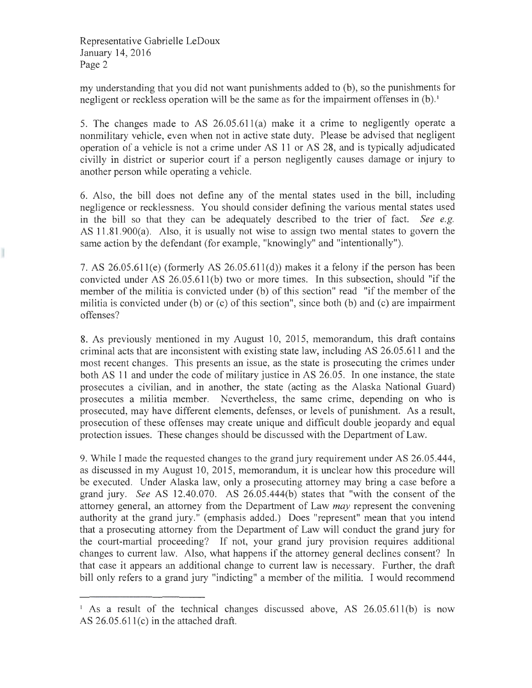Representative Gabrielle LeDoux January 14, 2016 Page 2

my understanding that you did not want punishments added to (b), so the punishments for negligent or reckless operation will be the same as for the impairment offenses in  $(b)$ .<sup>1</sup>

5. The changes made to AS 26.05 .611(a) make it a crime to negligently operate a nonmilitary vehicle, even when not in active state duty. Please be advised that negligent operation of a vehicle is not a crime under AS 11 or AS 28, and is typically adjudicated civilly in district or superior court if a person negligently causes damage or injury to another person while operating a vehicle.

6. Also, the bill does not define any of the mental states used in the bill, including negligence or recklessness. You should consider defining the various mental states used in the bill so that they can be adequately described to the trier of fact. *See e.g.*  AS 11.81.900(a). Also, it is usually not wise to assign two mental states to govern the same action by the defendant (for example, "knowingly" and "intentionally").

7. AS 26.05 .611(e) (formerly AS 26.05.611(d)) makes it a felony if the person has been convicted under AS 26.05.611(b) two or more times. In this subsection, should "if the member of the militia is convicted under (b) of this section" read "if the member of the militia is convicted under (b) or (c) of this section", since both (b) and (c) are impairment offenses?

8. As previously mentioned in my August 10, 2015, memorandum, this draft contains criminal acts that are inconsistent with existing state law, including AS 26.05.611 and the most recent changes. This presents an issue, as the state is prosecuting the crimes under both AS 11 and under the code of military justice in AS 26.05. In one instance, the state prosecutes a civilian, and in another, the state (acting as the Alaska National Guard) prosecutes a militia member. Nevertheless, the same crime, depending on who is prosecuted, may have different elements, defenses, or levels of punishment. As a result, prosecution of these offenses may create unique and difficult double jeopardy and equal protection issues. These changes should be discussed with the Department of Law.

9. While I made the requested changes to the grand jury requirement under AS 26.05.444, as discussed in my August 10, 2015, memorandum, it is unclear how this procedure will be executed. Under Alaska law, only a prosecuting attorney may bring a case before a grand jury. *See* AS 12.40.070. AS 26.05.444(b) states that "with the consent of the attorney general, an attorney from the Department of Law *may* represent the convening authority at the grand jury." (emphasis added.) Does "represent" mean that you intend that a prosecuting attorney from the Department of Law will conduct the grand jury for the court-martial proceeding? If not, your grand jury provision requires additional changes to current law. Also, what happens if the attorney general declines consent? In that case it appears an additional change to current law is necessary. Further, the draft bill only refers to a grand jury "indicting" a member of the militia. I would recommend

<sup>&</sup>lt;sup>1</sup> As a result of the technical changes discussed above, AS 26.05.611(b) is now AS 26.05.611(c) in the attached draft.